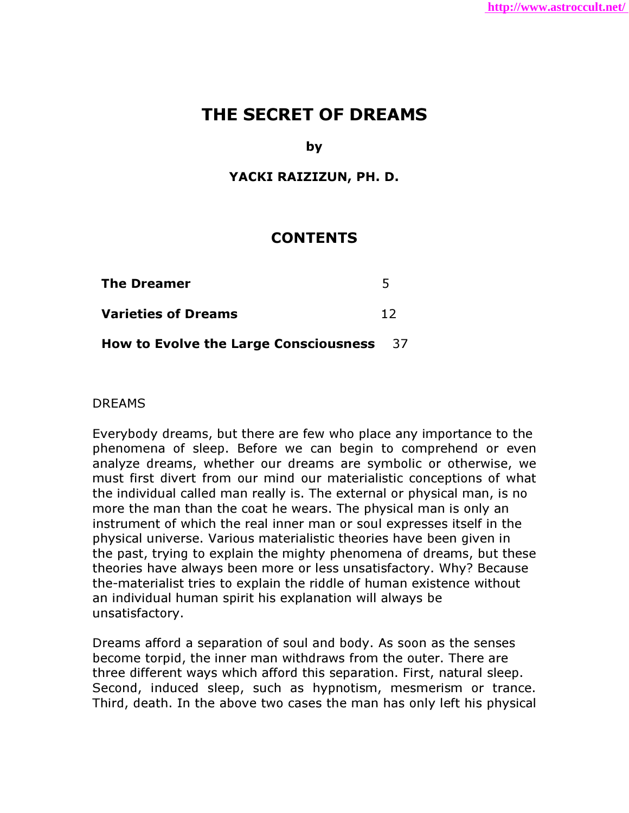# THE SECRET OF DREAMS

by

### YACKI RAIZIZUN, PH. D.

# **CONTENTS**

| <b>The Dreamer</b>                              | 5  |
|-------------------------------------------------|----|
| <b>Varieties of Dreams</b>                      | 12 |
| <b>How to Evolve the Large Consciousness</b> 37 |    |

### DREAMS

Everybody dreams, but there are few who place any importance to the phenomena of sleep. Before we can begin to comprehend or even analyze dreams, whether our dreams are symbolic or otherwise, we must first divert from our mind our materialistic conceptions of what the individual called man really is. The external or physical man, is no more the man than the coat he wears. The physical man is only an instrument of which the real inner man or soul expresses itself in the physical universe. Various materialistic theories have been given in the past, trying to explain the mighty phenomena of dreams, but these theories have always been more or less unsatisfactory. Why? Because the-materialist tries to explain the riddle of human existence without an individual human spirit his explanation will always be unsatisfactory.

Dreams afford a separation of soul and body. As soon as the senses become torpid, the inner man withdraws from the outer. There are three different ways which afford this separation. First, natural sleep. Second, induced sleep, such as hypnotism, mesmerism or trance. Third, death. In the above two cases the man has only left his physical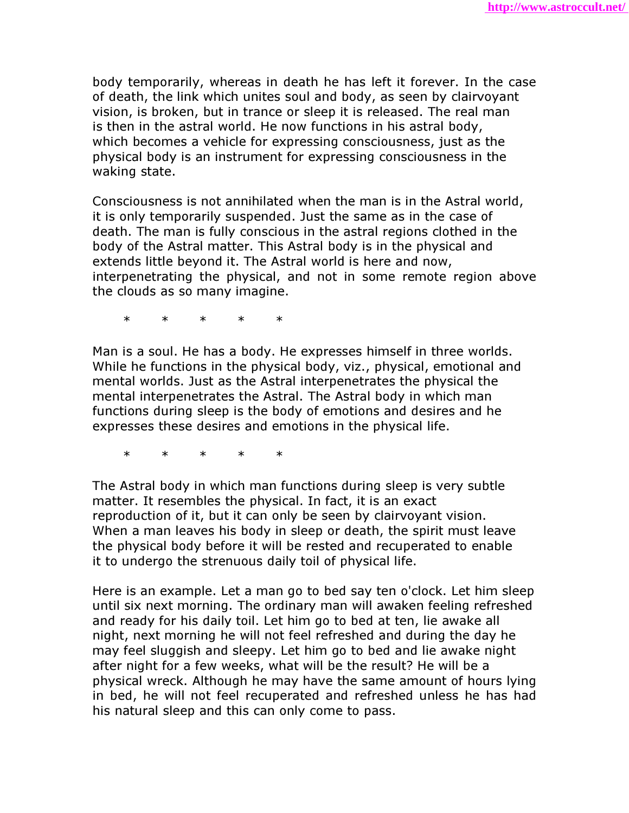body temporarily, whereas in death he has left it forever. In the case of death, the link which unites soul and body, as seen by clairvoyant vision, is broken, but in trance or sleep it is released. The real man is then in the astral world. He now functions in his astral body, which becomes a vehicle for expressing consciousness, just as the physical body is an instrument for expressing consciousness in the waking state.

Consciousness is not annihilated when the man is in the Astral world, it is only temporarily suspended. Just the same as in the case of death. The man is fully conscious in the astral regions clothed in the body of the Astral matter. This Astral body is in the physical and extends little beyond it. The Astral world is here and now, interpenetrating the physical, and not in some remote region above the clouds as so many imagine.

\* \* \* \* \*

Man is a soul. He has a body. He expresses himself in three worlds. While he functions in the physical body, viz., physical, emotional and mental worlds. Just as the Astral interpenetrates the physical the mental interpenetrates the Astral. The Astral body in which man functions during sleep is the body of emotions and desires and he expresses these desires and emotions in the physical life.

\* \* \* \* \*

The Astral body in which man functions during sleep is very subtle matter. It resembles the physical. In fact, it is an exact reproduction of it, but it can only be seen by clairvoyant vision. When a man leaves his body in sleep or death, the spirit must leave the physical body before it will be rested and recuperated to enable it to undergo the strenuous daily toil of physical life.

Here is an example. Let a man go to bed say ten o'clock. Let him sleep until six next morning. The ordinary man will awaken feeling refreshed and ready for his daily toil. Let him go to bed at ten, lie awake all night, next morning he will not feel refreshed and during the day he may feel sluggish and sleepy. Let him go to bed and lie awake night after night for a few weeks, what will be the result? He will be a physical wreck. Although he may have the same amount of hours lying in bed, he will not feel recuperated and refreshed unless he has had his natural sleep and this can only come to pass.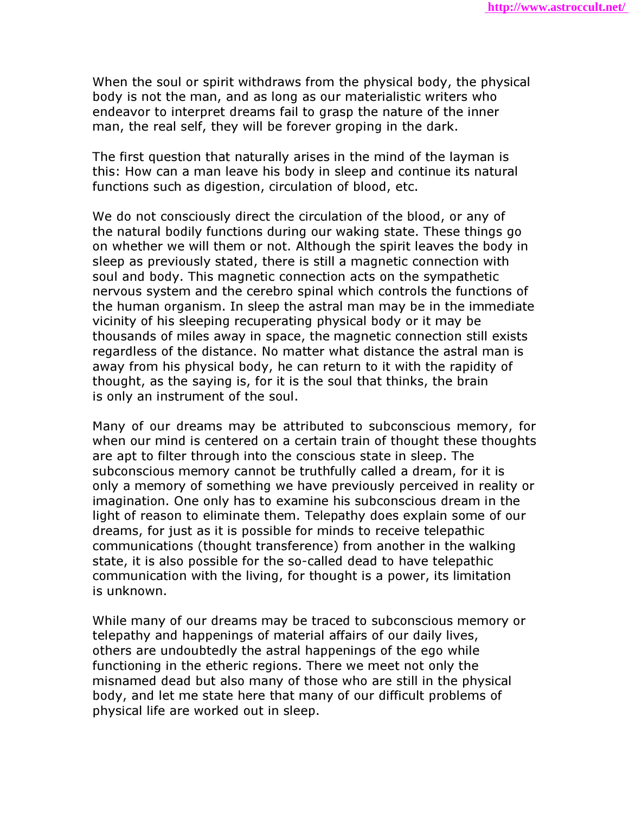When the soul or spirit withdraws from the physical body, the physical body is not the man, and as long as our materialistic writers who endeavor to interpret dreams fail to grasp the nature of the inner man, the real self, they will be forever groping in the dark.

The first question that naturally arises in the mind of the layman is this: How can a man leave his body in sleep and continue its natural functions such as digestion, circulation of blood, etc.

We do not consciously direct the circulation of the blood, or any of the natural bodily functions during our waking state. These things go on whether we will them or not. Although the spirit leaves the body in sleep as previously stated, there is still a magnetic connection with soul and body. This magnetic connection acts on the sympathetic nervous system and the cerebro spinal which controls the functions of the human organism. In sleep the astral man may be in the immediate vicinity of his sleeping recuperating physical body or it may be thousands of miles away in space, the magnetic connection still exists regardless of the distance. No matter what distance the astral man is away from his physical body, he can return to it with the rapidity of thought, as the saying is, for it is the soul that thinks, the brain is only an instrument of the soul.

Many of our dreams may be attributed to subconscious memory, for when our mind is centered on a certain train of thought these thoughts are apt to filter through into the conscious state in sleep. The subconscious memory cannot be truthfully called a dream, for it is only a memory of something we have previously perceived in reality or imagination. One only has to examine his subconscious dream in the light of reason to eliminate them. Telepathy does explain some of our dreams, for just as it is possible for minds to receive telepathic communications (thought transference) from another in the walking state, it is also possible for the so-called dead to have telepathic communication with the living, for thought is a power, its limitation is unknown.

While many of our dreams may be traced to subconscious memory or telepathy and happenings of material affairs of our daily lives, others are undoubtedly the astral happenings of the ego while functioning in the etheric regions. There we meet not only the misnamed dead but also many of those who are still in the physical body, and let me state here that many of our difficult problems of physical life are worked out in sleep.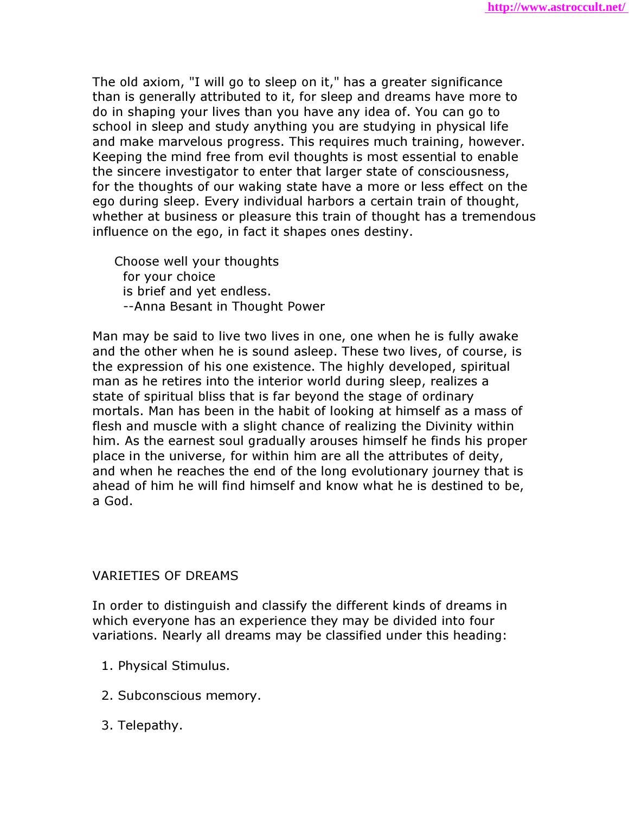The old axiom, "I will go to sleep on it," has a greater significance than is generally attributed to it, for sleep and dreams have more to do in shaping your lives than you have any idea of. You can go to school in sleep and study anything you are studying in physical life and make marvelous progress. This requires much training, however. Keeping the mind free from evil thoughts is most essential to enable the sincere investigator to enter that larger state of consciousness, for the thoughts of our waking state have a more or less effect on the ego during sleep. Every individual harbors a certain train of thought, whether at business or pleasure this train of thought has a tremendous influence on the ego, in fact it shapes ones destiny.

 Choose well your thoughts for your choice is brief and yet endless. --Anna Besant in Thought Power

Man may be said to live two lives in one, one when he is fully awake and the other when he is sound asleep. These two lives, of course, is the expression of his one existence. The highly developed, spiritual man as he retires into the interior world during sleep, realizes a state of spiritual bliss that is far beyond the stage of ordinary mortals. Man has been in the habit of looking at himself as a mass of flesh and muscle with a slight chance of realizing the Divinity within him. As the earnest soul gradually arouses himself he finds his proper place in the universe, for within him are all the attributes of deity, and when he reaches the end of the long evolutionary journey that is ahead of him he will find himself and know what he is destined to be, a God.

### VARIETIES OF DREAMS

In order to distinguish and classify the different kinds of dreams in which everyone has an experience they may be divided into four variations. Nearly all dreams may be classified under this heading:

- 1. Physical Stimulus.
- 2. Subconscious memory.
- 3. Telepathy.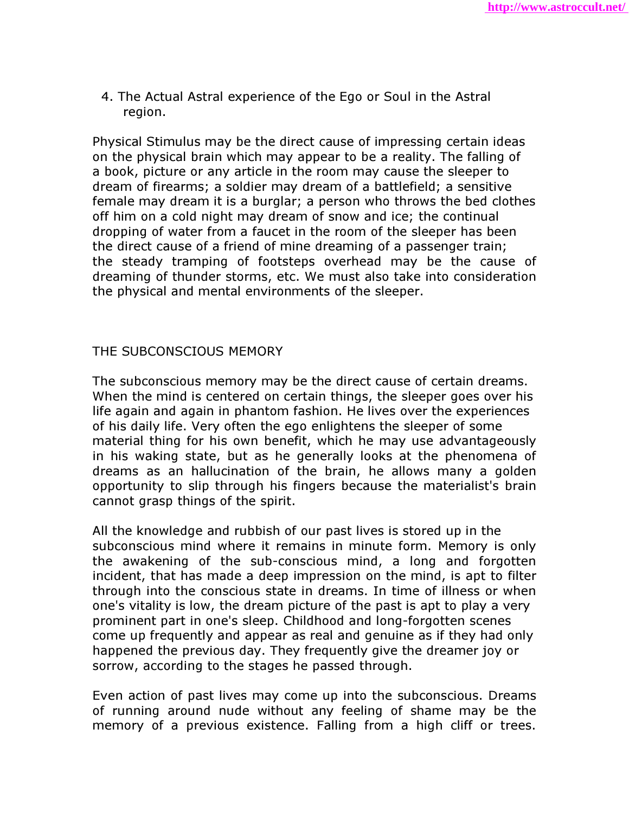4. The Actual Astral experience of the Ego or Soul in the Astral region.

Physical Stimulus may be the direct cause of impressing certain ideas on the physical brain which may appear to be a reality. The falling of a book, picture or any article in the room may cause the sleeper to dream of firearms; a soldier may dream of a battlefield; a sensitive female may dream it is a burglar; a person who throws the bed clothes off him on a cold night may dream of snow and ice; the continual dropping of water from a faucet in the room of the sleeper has been the direct cause of a friend of mine dreaming of a passenger train; the steady tramping of footsteps overhead may be the cause of dreaming of thunder storms, etc. We must also take into consideration the physical and mental environments of the sleeper.

## THE SUBCONSCIOUS MEMORY

The subconscious memory may be the direct cause of certain dreams. When the mind is centered on certain things, the sleeper goes over his life again and again in phantom fashion. He lives over the experiences of his daily life. Very often the ego enlightens the sleeper of some material thing for his own benefit, which he may use advantageously in his waking state, but as he generally looks at the phenomena of dreams as an hallucination of the brain, he allows many a golden opportunity to slip through his fingers because the materialist's brain cannot grasp things of the spirit.

All the knowledge and rubbish of our past lives is stored up in the subconscious mind where it remains in minute form. Memory is only the awakening of the sub-conscious mind, a long and forgotten incident, that has made a deep impression on the mind, is apt to filter through into the conscious state in dreams. In time of illness or when one's vitality is low, the dream picture of the past is apt to play a very prominent part in one's sleep. Childhood and long-forgotten scenes come up frequently and appear as real and genuine as if they had only happened the previous day. They frequently give the dreamer joy or sorrow, according to the stages he passed through.

Even action of past lives may come up into the subconscious. Dreams of running around nude without any feeling of shame may be the memory of a previous existence. Falling from a high cliff or trees.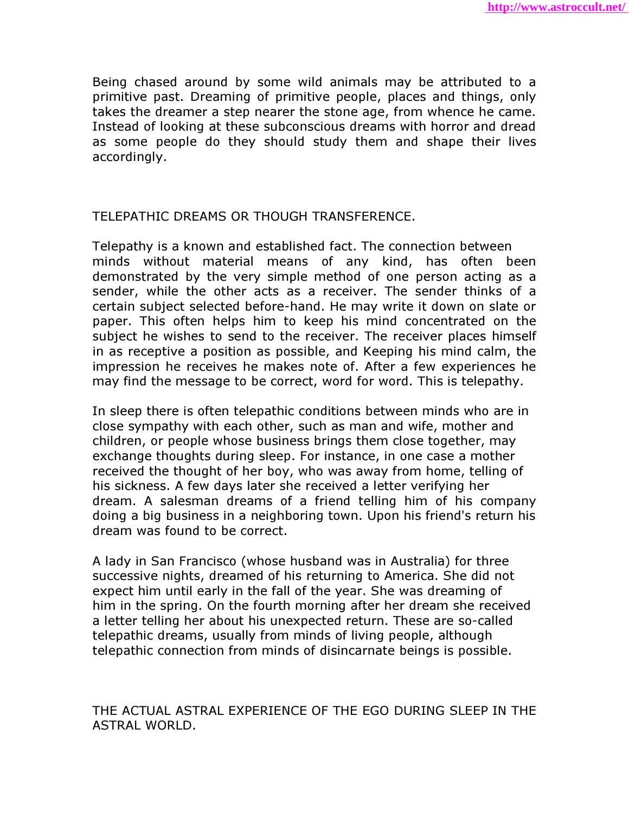Being chased around by some wild animals may be attributed to a primitive past. Dreaming of primitive people, places and things, only takes the dreamer a step nearer the stone age, from whence he came. Instead of looking at these subconscious dreams with horror and dread as some people do they should study them and shape their lives accordingly.

### TELEPATHIC DREAMS OR THOUGH TRANSFERENCE.

Telepathy is a known and established fact. The connection between minds without material means of any kind, has often been demonstrated by the very simple method of one person acting as a sender, while the other acts as a receiver. The sender thinks of a certain subject selected before-hand. He may write it down on slate or paper. This often helps him to keep his mind concentrated on the subject he wishes to send to the receiver. The receiver places himself in as receptive a position as possible, and Keeping his mind calm, the impression he receives he makes note of. After a few experiences he may find the message to be correct, word for word. This is telepathy.

In sleep there is often telepathic conditions between minds who are in close sympathy with each other, such as man and wife, mother and children, or people whose business brings them close together, may exchange thoughts during sleep. For instance, in one case a mother received the thought of her boy, who was away from home, telling of his sickness. A few days later she received a letter verifying her dream. A salesman dreams of a friend telling him of his company doing a big business in a neighboring town. Upon his friend's return his dream was found to be correct.

A lady in San Francisco (whose husband was in Australia) for three successive nights, dreamed of his returning to America. She did not expect him until early in the fall of the year. She was dreaming of him in the spring. On the fourth morning after her dream she received a letter telling her about his unexpected return. These are so-called telepathic dreams, usually from minds of living people, although telepathic connection from minds of disincarnate beings is possible.

THE ACTUAL ASTRAL EXPERIENCE OF THE EGO DURING SLEEP IN THE ASTRAL WORLD.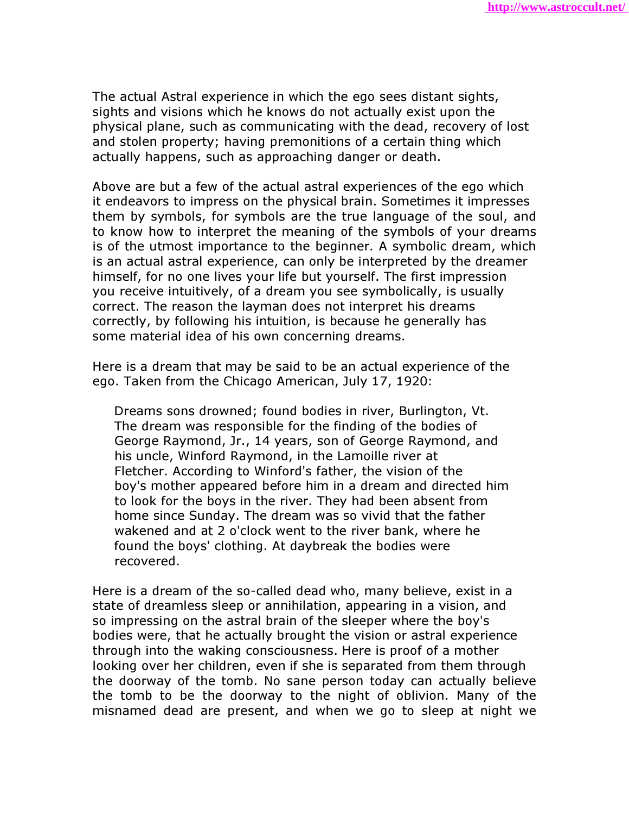The actual Astral experience in which the ego sees distant sights, sights and visions which he knows do not actually exist upon the physical plane, such as communicating with the dead, recovery of lost and stolen property; having premonitions of a certain thing which actually happens, such as approaching danger or death.

Above are but a few of the actual astral experiences of the ego which it endeavors to impress on the physical brain. Sometimes it impresses them by symbols, for symbols are the true language of the soul, and to know how to interpret the meaning of the symbols of your dreams is of the utmost importance to the beginner. A symbolic dream, which is an actual astral experience, can only be interpreted by the dreamer himself, for no one lives your life but yourself. The first impression you receive intuitively, of a dream you see symbolically, is usually correct. The reason the layman does not interpret his dreams correctly, by following his intuition, is because he generally has some material idea of his own concerning dreams.

Here is a dream that may be said to be an actual experience of the ego. Taken from the Chicago American, July 17, 1920:

 Dreams sons drowned; found bodies in river, Burlington, Vt. The dream was responsible for the finding of the bodies of George Raymond, Jr., 14 years, son of George Raymond, and his uncle, Winford Raymond, in the Lamoille river at Fletcher. According to Winford's father, the vision of the boy's mother appeared before him in a dream and directed him to look for the boys in the river. They had been absent from home since Sunday. The dream was so vivid that the father wakened and at 2 o'clock went to the river bank, where he found the boys' clothing. At daybreak the bodies were recovered.

Here is a dream of the so-called dead who, many believe, exist in a state of dreamless sleep or annihilation, appearing in a vision, and so impressing on the astral brain of the sleeper where the boy's bodies were, that he actually brought the vision or astral experience through into the waking consciousness. Here is proof of a mother looking over her children, even if she is separated from them through the doorway of the tomb. No sane person today can actually believe the tomb to be the doorway to the night of oblivion. Many of the misnamed dead are present, and when we go to sleep at night we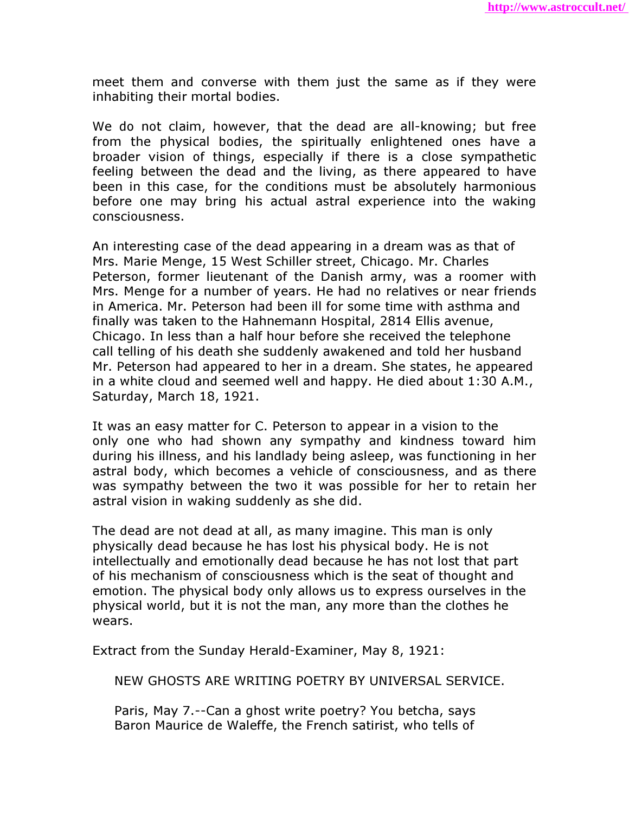meet them and converse with them just the same as if they were inhabiting their mortal bodies.

We do not claim, however, that the dead are all-knowing; but free from the physical bodies, the spiritually enlightened ones have a broader vision of things, especially if there is a close sympathetic feeling between the dead and the living, as there appeared to have been in this case, for the conditions must be absolutely harmonious before one may bring his actual astral experience into the waking consciousness.

An interesting case of the dead appearing in a dream was as that of Mrs. Marie Menge, 15 West Schiller street, Chicago. Mr. Charles Peterson, former lieutenant of the Danish army, was a roomer with Mrs. Menge for a number of years. He had no relatives or near friends in America. Mr. Peterson had been ill for some time with asthma and finally was taken to the Hahnemann Hospital, 2814 Ellis avenue, Chicago. In less than a half hour before she received the telephone call telling of his death she suddenly awakened and told her husband Mr. Peterson had appeared to her in a dream. She states, he appeared in a white cloud and seemed well and happy. He died about 1:30 A.M., Saturday, March 18, 1921.

It was an easy matter for C. Peterson to appear in a vision to the only one who had shown any sympathy and kindness toward him during his illness, and his landlady being asleep, was functioning in her astral body, which becomes a vehicle of consciousness, and as there was sympathy between the two it was possible for her to retain her astral vision in waking suddenly as she did.

The dead are not dead at all, as many imagine. This man is only physically dead because he has lost his physical body. He is not intellectually and emotionally dead because he has not lost that part of his mechanism of consciousness which is the seat of thought and emotion. The physical body only allows us to express ourselves in the physical world, but it is not the man, any more than the clothes he wears.

Extract from the Sunday Herald-Examiner, May 8, 1921:

NEW GHOSTS ARE WRITING POETRY BY UNIVERSAL SERVICE.

 Paris, May 7.--Can a ghost write poetry? You betcha, says Baron Maurice de Waleffe, the French satirist, who tells of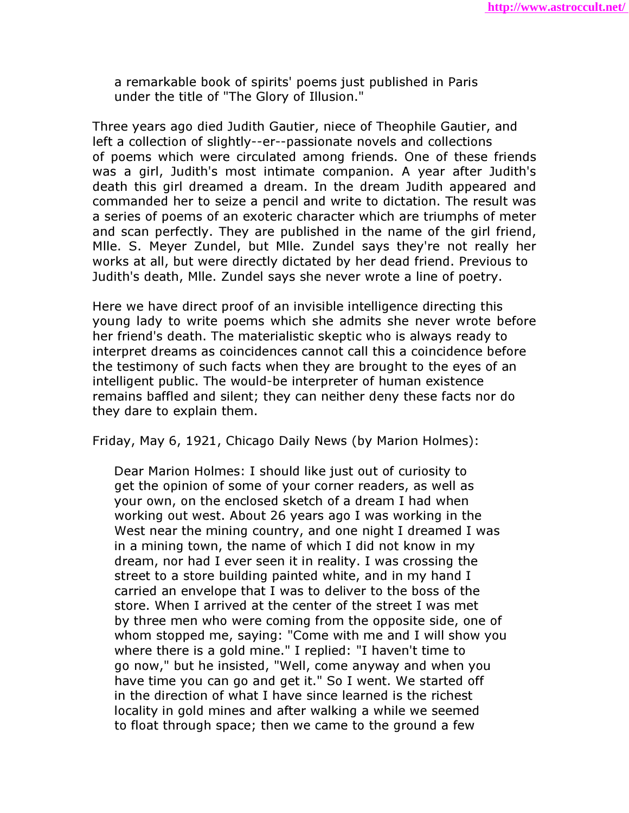a remarkable book of spirits' poems just published in Paris under the title of "The Glory of Illusion."

Three years ago died Judith Gautier, niece of Theophile Gautier, and left a collection of slightly--er--passionate novels and collections of poems which were circulated among friends. One of these friends was a girl, Judith's most intimate companion. A year after Judith's death this girl dreamed a dream. In the dream Judith appeared and commanded her to seize a pencil and write to dictation. The result was a series of poems of an exoteric character which are triumphs of meter and scan perfectly. They are published in the name of the girl friend, Mlle. S. Meyer Zundel, but Mlle. Zundel says they're not really her works at all, but were directly dictated by her dead friend. Previous to Judith's death, Mlle. Zundel says she never wrote a line of poetry.

Here we have direct proof of an invisible intelligence directing this young lady to write poems which she admits she never wrote before her friend's death. The materialistic skeptic who is always ready to interpret dreams as coincidences cannot call this a coincidence before the testimony of such facts when they are brought to the eyes of an intelligent public. The would-be interpreter of human existence remains baffled and silent; they can neither deny these facts nor do they dare to explain them.

Friday, May 6, 1921, Chicago Daily News (by Marion Holmes):

 Dear Marion Holmes: I should like just out of curiosity to get the opinion of some of your corner readers, as well as your own, on the enclosed sketch of a dream I had when working out west. About 26 years ago I was working in the West near the mining country, and one night I dreamed I was in a mining town, the name of which I did not know in my dream, nor had I ever seen it in reality. I was crossing the street to a store building painted white, and in my hand I carried an envelope that I was to deliver to the boss of the store. When I arrived at the center of the street I was met by three men who were coming from the opposite side, one of whom stopped me, saying: "Come with me and I will show you where there is a gold mine." I replied: "I haven't time to go now," but he insisted, "Well, come anyway and when you have time you can go and get it." So I went. We started off in the direction of what I have since learned is the richest locality in gold mines and after walking a while we seemed to float through space; then we came to the ground a few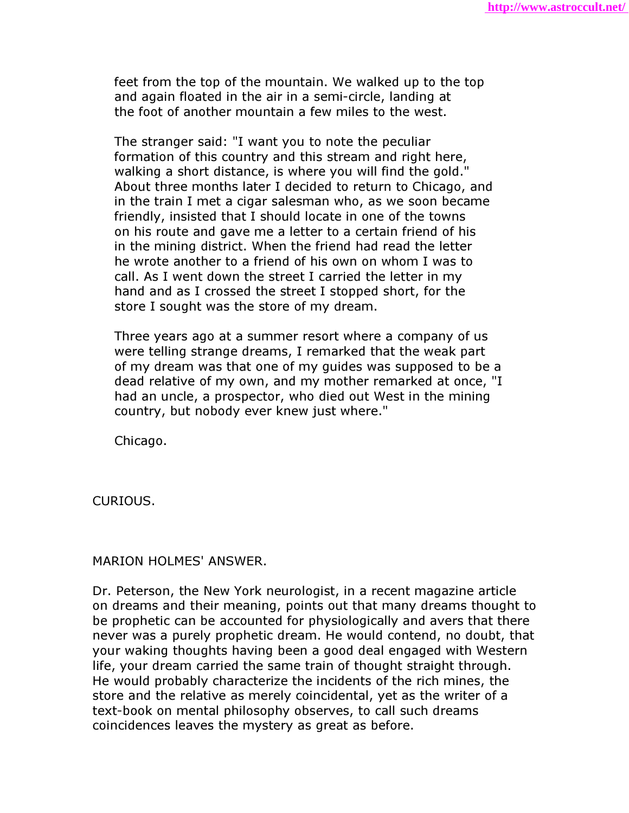feet from the top of the mountain. We walked up to the top and again floated in the air in a semi-circle, landing at the foot of another mountain a few miles to the west.

 The stranger said: "I want you to note the peculiar formation of this country and this stream and right here, walking a short distance, is where you will find the gold." About three months later I decided to return to Chicago, and in the train I met a cigar salesman who, as we soon became friendly, insisted that I should locate in one of the towns on his route and gave me a letter to a certain friend of his in the mining district. When the friend had read the letter he wrote another to a friend of his own on whom I was to call. As I went down the street I carried the letter in my hand and as I crossed the street I stopped short, for the store I sought was the store of my dream.

 Three years ago at a summer resort where a company of us were telling strange dreams, I remarked that the weak part of my dream was that one of my guides was supposed to be a dead relative of my own, and my mother remarked at once, "I had an uncle, a prospector, who died out West in the mining country, but nobody ever knew just where."

Chicago.

CURIOUS.

MARION HOLMES' ANSWER.

Dr. Peterson, the New York neurologist, in a recent magazine article on dreams and their meaning, points out that many dreams thought to be prophetic can be accounted for physiologically and avers that there never was a purely prophetic dream. He would contend, no doubt, that your waking thoughts having been a good deal engaged with Western life, your dream carried the same train of thought straight through. He would probably characterize the incidents of the rich mines, the store and the relative as merely coincidental, yet as the writer of a text-book on mental philosophy observes, to call such dreams coincidences leaves the mystery as great as before.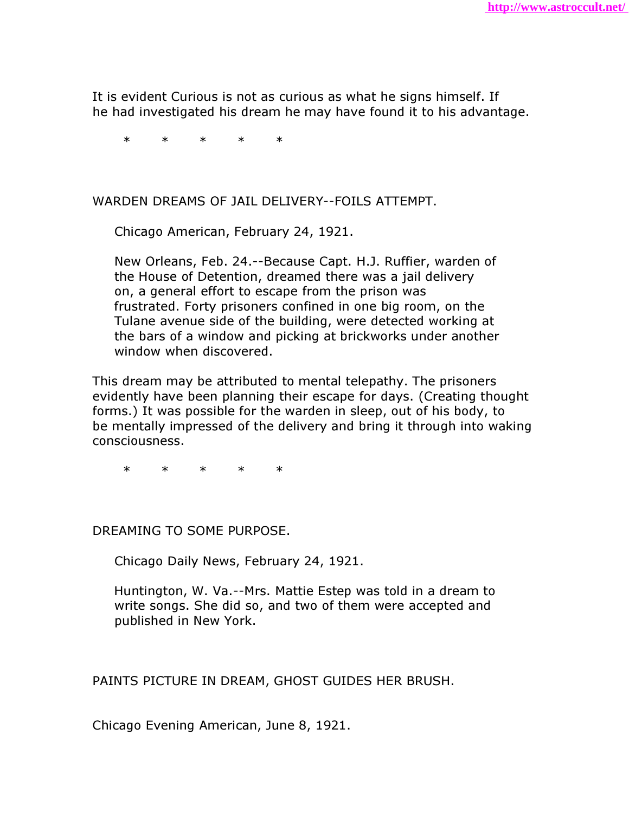It is evident Curious is not as curious as what he signs himself. If he had investigated his dream he may have found it to his advantage.

\* \* \* \* \*

#### WARDEN DREAMS OF JAIL DELIVERY--FOILS ATTEMPT.

Chicago American, February 24, 1921.

 New Orleans, Feb. 24.--Because Capt. H.J. Ruffier, warden of the House of Detention, dreamed there was a jail delivery on, a general effort to escape from the prison was frustrated. Forty prisoners confined in one big room, on the Tulane avenue side of the building, were detected working at the bars of a window and picking at brickworks under another window when discovered.

This dream may be attributed to mental telepathy. The prisoners evidently have been planning their escape for days. (Creating thought forms.) It was possible for the warden in sleep, out of his body, to be mentally impressed of the delivery and bring it through into waking consciousness.

\* \* \* \* \*

DREAMING TO SOME PURPOSE.

Chicago Daily News, February 24, 1921.

 Huntington, W. Va.--Mrs. Mattie Estep was told in a dream to write songs. She did so, and two of them were accepted and published in New York.

PAINTS PICTURE IN DREAM, GHOST GUIDES HER BRUSH.

Chicago Evening American, June 8, 1921.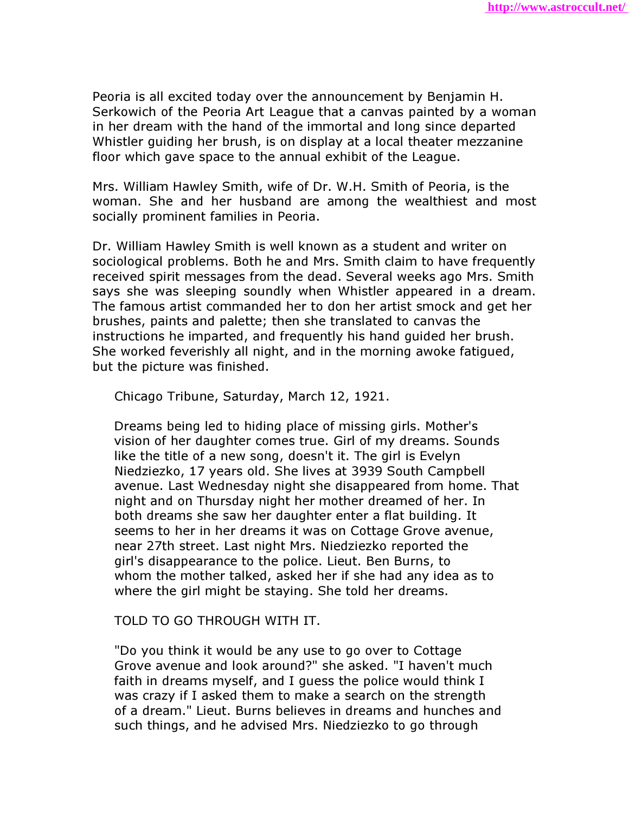Peoria is all excited today over the announcement by Benjamin H. Serkowich of the Peoria Art League that a canvas painted by a woman in her dream with the hand of the immortal and long since departed Whistler guiding her brush, is on display at a local theater mezzanine floor which gave space to the annual exhibit of the League.

Mrs. William Hawley Smith, wife of Dr. W.H. Smith of Peoria, is the woman. She and her husband are among the wealthiest and most socially prominent families in Peoria.

Dr. William Hawley Smith is well known as a student and writer on sociological problems. Both he and Mrs. Smith claim to have frequently received spirit messages from the dead. Several weeks ago Mrs. Smith says she was sleeping soundly when Whistler appeared in a dream. The famous artist commanded her to don her artist smock and get her brushes, paints and palette; then she translated to canvas the instructions he imparted, and frequently his hand guided her brush. She worked feverishly all night, and in the morning awoke fatigued, but the picture was finished.

Chicago Tribune, Saturday, March 12, 1921.

 Dreams being led to hiding place of missing girls. Mother's vision of her daughter comes true. Girl of my dreams. Sounds like the title of a new song, doesn't it. The girl is Evelyn Niedziezko, 17 years old. She lives at 3939 South Campbell avenue. Last Wednesday night she disappeared from home. That night and on Thursday night her mother dreamed of her. In both dreams she saw her daughter enter a flat building. It seems to her in her dreams it was on Cottage Grove avenue, near 27th street. Last night Mrs. Niedziezko reported the girl's disappearance to the police. Lieut. Ben Burns, to whom the mother talked, asked her if she had any idea as to where the girl might be staying. She told her dreams.

### TOLD TO GO THROUGH WITH IT.

 "Do you think it would be any use to go over to Cottage Grove avenue and look around?" she asked. "I haven't much faith in dreams myself, and I guess the police would think I was crazy if I asked them to make a search on the strength of a dream." Lieut. Burns believes in dreams and hunches and such things, and he advised Mrs. Niedziezko to go through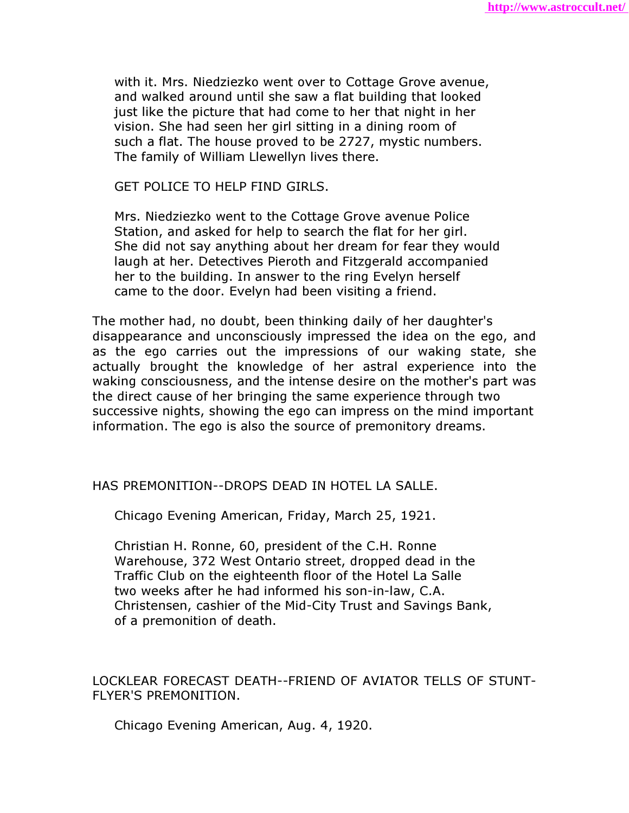with it. Mrs. Niedziezko went over to Cottage Grove avenue, and walked around until she saw a flat building that looked just like the picture that had come to her that night in her vision. She had seen her girl sitting in a dining room of such a flat. The house proved to be 2727, mystic numbers. The family of William Llewellyn lives there.

GET POLICE TO HELP FIND GIRLS.

 Mrs. Niedziezko went to the Cottage Grove avenue Police Station, and asked for help to search the flat for her girl. She did not say anything about her dream for fear they would laugh at her. Detectives Pieroth and Fitzgerald accompanied her to the building. In answer to the ring Evelyn herself came to the door. Evelyn had been visiting a friend.

The mother had, no doubt, been thinking daily of her daughter's disappearance and unconsciously impressed the idea on the ego, and as the ego carries out the impressions of our waking state, she actually brought the knowledge of her astral experience into the waking consciousness, and the intense desire on the mother's part was the direct cause of her bringing the same experience through two successive nights, showing the ego can impress on the mind important information. The ego is also the source of premonitory dreams.

HAS PREMONITION--DROPS DEAD IN HOTEL LA SALLE.

Chicago Evening American, Friday, March 25, 1921.

 Christian H. Ronne, 60, president of the C.H. Ronne Warehouse, 372 West Ontario street, dropped dead in the Traffic Club on the eighteenth floor of the Hotel La Salle two weeks after he had informed his son-in-law, C.A. Christensen, cashier of the Mid-City Trust and Savings Bank, of a premonition of death.

LOCKLEAR FORECAST DEATH--FRIEND OF AVIATOR TELLS OF STUNT-FLYER'S PREMONITION.

Chicago Evening American, Aug. 4, 1920.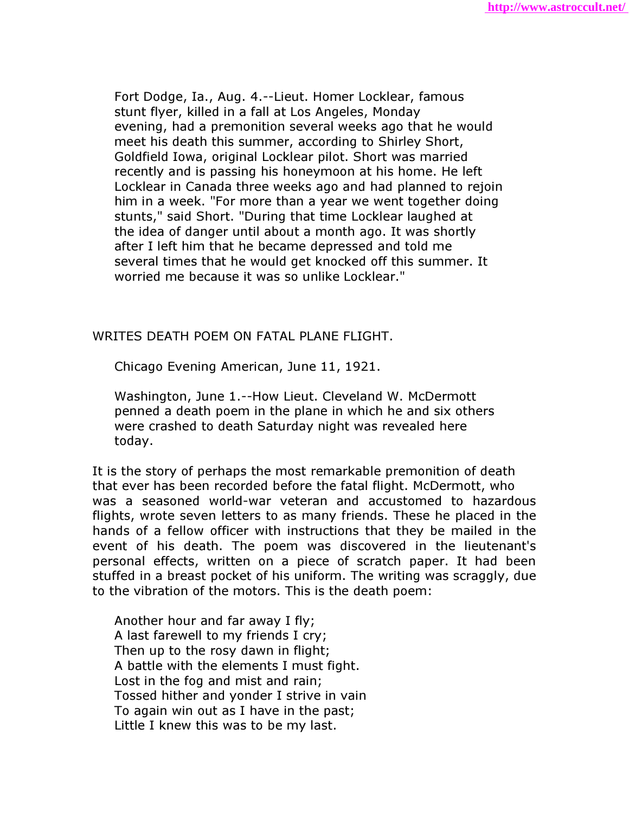Fort Dodge, Ia., Aug. 4.--Lieut. Homer Locklear, famous stunt flyer, killed in a fall at Los Angeles, Monday evening, had a premonition several weeks ago that he would meet his death this summer, according to Shirley Short, Goldfield Iowa, original Locklear pilot. Short was married recently and is passing his honeymoon at his home. He left Locklear in Canada three weeks ago and had planned to rejoin him in a week. "For more than a year we went together doing stunts," said Short. "During that time Locklear laughed at the idea of danger until about a month ago. It was shortly after I left him that he became depressed and told me several times that he would get knocked off this summer. It worried me because it was so unlike Locklear."

#### WRITES DEATH POEM ON FATAL PLANE FLIGHT.

Chicago Evening American, June 11, 1921.

 Washington, June 1.--How Lieut. Cleveland W. McDermott penned a death poem in the plane in which he and six others were crashed to death Saturday night was revealed here today.

It is the story of perhaps the most remarkable premonition of death that ever has been recorded before the fatal flight. McDermott, who was a seasoned world-war veteran and accustomed to hazardous flights, wrote seven letters to as many friends. These he placed in the hands of a fellow officer with instructions that they be mailed in the event of his death. The poem was discovered in the lieutenant's personal effects, written on a piece of scratch paper. It had been stuffed in a breast pocket of his uniform. The writing was scraggly, due to the vibration of the motors. This is the death poem:

 Another hour and far away I fly; A last farewell to my friends I cry; Then up to the rosy dawn in flight; A battle with the elements I must fight. Lost in the fog and mist and rain; Tossed hither and yonder I strive in vain To again win out as I have in the past; Little I knew this was to be my last.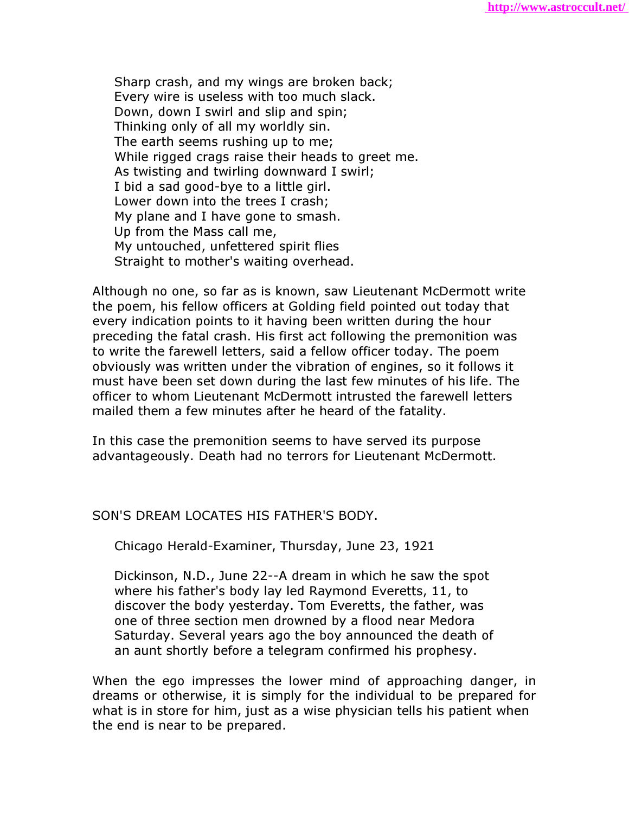Sharp crash, and my wings are broken back; Every wire is useless with too much slack. Down, down I swirl and slip and spin; Thinking only of all my worldly sin. The earth seems rushing up to me; While rigged crags raise their heads to greet me. As twisting and twirling downward I swirl; I bid a sad good-bye to a little girl. Lower down into the trees I crash; My plane and I have gone to smash. Up from the Mass call me, My untouched, unfettered spirit flies Straight to mother's waiting overhead.

Although no one, so far as is known, saw Lieutenant McDermott write the poem, his fellow officers at Golding field pointed out today that every indication points to it having been written during the hour preceding the fatal crash. His first act following the premonition was to write the farewell letters, said a fellow officer today. The poem obviously was written under the vibration of engines, so it follows it must have been set down during the last few minutes of his life. The officer to whom Lieutenant McDermott intrusted the farewell letters mailed them a few minutes after he heard of the fatality.

In this case the premonition seems to have served its purpose advantageously. Death had no terrors for Lieutenant McDermott.

SON'S DREAM LOCATES HIS FATHER'S BODY.

Chicago Herald-Examiner, Thursday, June 23, 1921

 Dickinson, N.D., June 22--A dream in which he saw the spot where his father's body lay led Raymond Everetts, 11, to discover the body yesterday. Tom Everetts, the father, was one of three section men drowned by a flood near Medora Saturday. Several years ago the boy announced the death of an aunt shortly before a telegram confirmed his prophesy.

When the ego impresses the lower mind of approaching danger, in dreams or otherwise, it is simply for the individual to be prepared for what is in store for him, just as a wise physician tells his patient when the end is near to be prepared.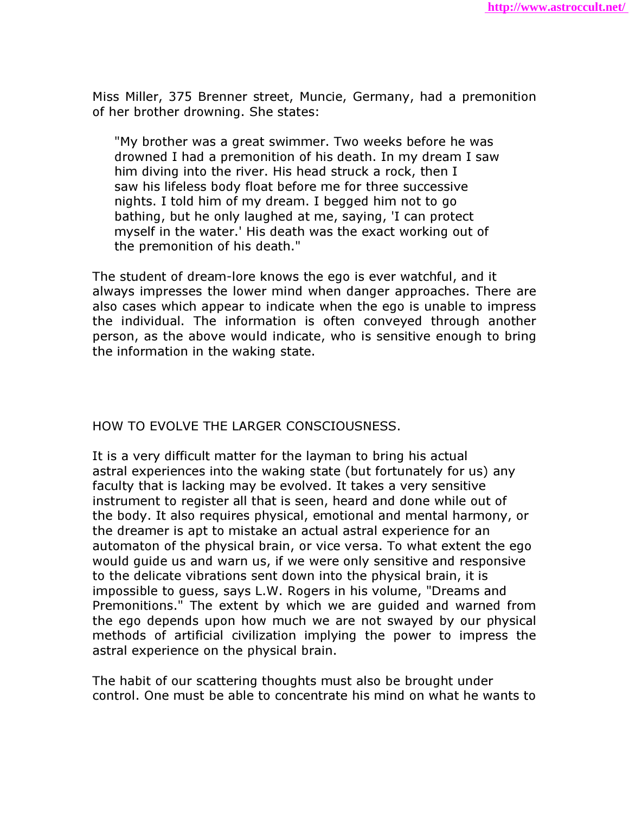Miss Miller, 375 Brenner street, Muncie, Germany, had a premonition of her brother drowning. She states:

 "My brother was a great swimmer. Two weeks before he was drowned I had a premonition of his death. In my dream I saw him diving into the river. His head struck a rock, then I saw his lifeless body float before me for three successive nights. I told him of my dream. I begged him not to go bathing, but he only laughed at me, saying, 'I can protect myself in the water.' His death was the exact working out of the premonition of his death."

The student of dream-lore knows the ego is ever watchful, and it always impresses the lower mind when danger approaches. There are also cases which appear to indicate when the ego is unable to impress the individual. The information is often conveyed through another person, as the above would indicate, who is sensitive enough to bring the information in the waking state.

HOW TO EVOLVE THE LARGER CONSCIOUSNESS.

It is a very difficult matter for the layman to bring his actual astral experiences into the waking state (but fortunately for us) any faculty that is lacking may be evolved. It takes a very sensitive instrument to register all that is seen, heard and done while out of the body. It also requires physical, emotional and mental harmony, or the dreamer is apt to mistake an actual astral experience for an automaton of the physical brain, or vice versa. To what extent the ego would guide us and warn us, if we were only sensitive and responsive to the delicate vibrations sent down into the physical brain, it is impossible to guess, says L.W. Rogers in his volume, "Dreams and Premonitions." The extent by which we are guided and warned from the ego depends upon how much we are not swayed by our physical methods of artificial civilization implying the power to impress the astral experience on the physical brain.

The habit of our scattering thoughts must also be brought under control. One must be able to concentrate his mind on what he wants to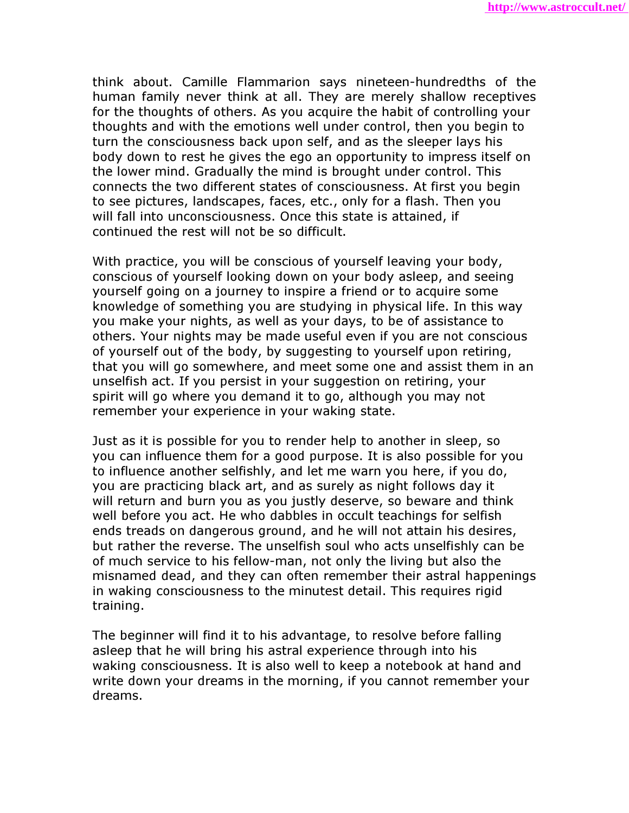think about. Camille Flammarion says nineteen-hundredths of the human family never think at all. They are merely shallow receptives for the thoughts of others. As you acquire the habit of controlling your thoughts and with the emotions well under control, then you begin to turn the consciousness back upon self, and as the sleeper lays his body down to rest he gives the ego an opportunity to impress itself on the lower mind. Gradually the mind is brought under control. This connects the two different states of consciousness. At first you begin to see pictures, landscapes, faces, etc., only for a flash. Then you will fall into unconsciousness. Once this state is attained, if continued the rest will not be so difficult.

With practice, you will be conscious of yourself leaving your body, conscious of yourself looking down on your body asleep, and seeing yourself going on a journey to inspire a friend or to acquire some knowledge of something you are studying in physical life. In this way you make your nights, as well as your days, to be of assistance to others. Your nights may be made useful even if you are not conscious of yourself out of the body, by suggesting to yourself upon retiring, that you will go somewhere, and meet some one and assist them in an unselfish act. If you persist in your suggestion on retiring, your spirit will go where you demand it to go, although you may not remember your experience in your waking state.

Just as it is possible for you to render help to another in sleep, so you can influence them for a good purpose. It is also possible for you to influence another selfishly, and let me warn you here, if you do, you are practicing black art, and as surely as night follows day it will return and burn you as you justly deserve, so beware and think well before you act. He who dabbles in occult teachings for selfish ends treads on dangerous ground, and he will not attain his desires, but rather the reverse. The unselfish soul who acts unselfishly can be of much service to his fellow-man, not only the living but also the misnamed dead, and they can often remember their astral happenings in waking consciousness to the minutest detail. This requires rigid training.

The beginner will find it to his advantage, to resolve before falling asleep that he will bring his astral experience through into his waking consciousness. It is also well to keep a notebook at hand and write down your dreams in the morning, if you cannot remember your dreams.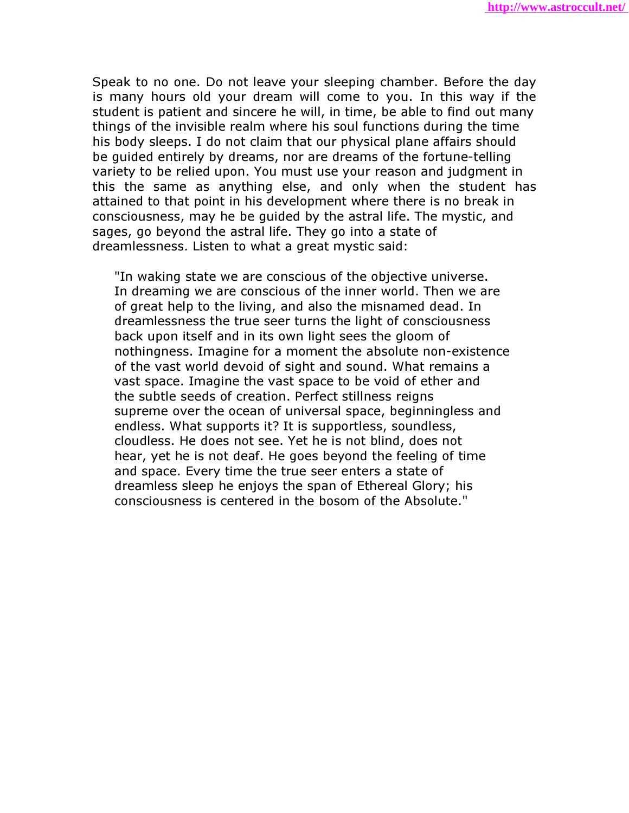Speak to no one. Do not leave your sleeping chamber. Before the day is many hours old your dream will come to you. In this way if the student is patient and sincere he will, in time, be able to find out many things of the invisible realm where his soul functions during the time his body sleeps. I do not claim that our physical plane affairs should be guided entirely by dreams, nor are dreams of the fortune-telling variety to be relied upon. You must use your reason and judgment in this the same as anything else, and only when the student has attained to that point in his development where there is no break in consciousness, may he be guided by the astral life. The mystic, and sages, go beyond the astral life. They go into a state of dreamlessness. Listen to what a great mystic said:

 "In waking state we are conscious of the objective universe. In dreaming we are conscious of the inner world. Then we are of great help to the living, and also the misnamed dead. In dreamlessness the true seer turns the light of consciousness back upon itself and in its own light sees the gloom of nothingness. Imagine for a moment the absolute non-existence of the vast world devoid of sight and sound. What remains a vast space. Imagine the vast space to be void of ether and the subtle seeds of creation. Perfect stillness reigns supreme over the ocean of universal space, beginningless and endless. What supports it? It is supportless, soundless, cloudless. He does not see. Yet he is not blind, does not hear, yet he is not deaf. He goes beyond the feeling of time and space. Every time the true seer enters a state of dreamless sleep he enjoys the span of Ethereal Glory; his consciousness is centered in the bosom of the Absolute."